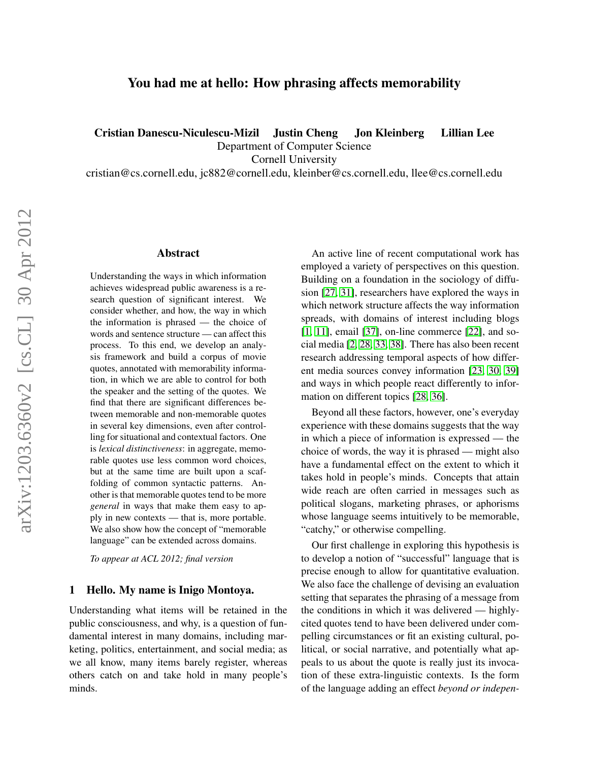# You had me at hello: How phrasing affects memorability

Cristian Danescu-Niculescu-Mizil Justin Cheng Jon Kleinberg Lillian Lee

Department of Computer Science

Cornell University

cristian@cs.cornell.edu, jc882@cornell.edu, kleinber@cs.cornell.edu, llee@cs.cornell.edu

## Abstract

Understanding the ways in which information achieves widespread public awareness is a research question of significant interest. We consider whether, and how, the way in which the information is phrased — the choice of words and sentence structure — can affect this process. To this end, we develop an analysis framework and build a corpus of movie quotes, annotated with memorability information, in which we are able to control for both the speaker and the setting of the quotes. We find that there are significant differences between memorable and non-memorable quotes in several key dimensions, even after controlling for situational and contextual factors. One is *lexical distinctiveness*: in aggregate, memorable quotes use less common word choices, but at the same time are built upon a scaffolding of common syntactic patterns. Another is that memorable quotes tend to be more *general* in ways that make them easy to apply in new contexts — that is, more portable. We also show how the concept of "memorable language" can be extended across domains.

*To appear at ACL 2012; final version*

#### <span id="page-0-0"></span>1 Hello. My name is Inigo Montoya.

Understanding what items will be retained in the public consciousness, and why, is a question of fundamental interest in many domains, including marketing, politics, entertainment, and social media; as we all know, many items barely register, whereas others catch on and take hold in many people's minds.

An active line of recent computational work has employed a variety of perspectives on this question. Building on a foundation in the sociology of diffusion [\[27,](#page-9-0) [31\]](#page-9-1), researchers have explored the ways in which network structure affects the way information spreads, with domains of interest including blogs [\[1,](#page-8-0) [11\]](#page-8-1), email [\[37\]](#page-9-2), on-line commerce [\[22\]](#page-9-3), and social media [\[2,](#page-8-2) [28,](#page-9-4) [33,](#page-9-5) [38\]](#page-9-6). There has also been recent research addressing temporal aspects of how different media sources convey information [\[23,](#page-9-7) [30,](#page-9-8) [39\]](#page-9-9) and ways in which people react differently to information on different topics [\[28,](#page-9-4) [36\]](#page-9-10).

Beyond all these factors, however, one's everyday experience with these domains suggests that the way in which a piece of information is expressed — the choice of words, the way it is phrased — might also have a fundamental effect on the extent to which it takes hold in people's minds. Concepts that attain wide reach are often carried in messages such as political slogans, marketing phrases, or aphorisms whose language seems intuitively to be memorable, "catchy," or otherwise compelling.

Our first challenge in exploring this hypothesis is to develop a notion of "successful" language that is precise enough to allow for quantitative evaluation. We also face the challenge of devising an evaluation setting that separates the phrasing of a message from the conditions in which it was delivered — highlycited quotes tend to have been delivered under compelling circumstances or fit an existing cultural, political, or social narrative, and potentially what appeals to us about the quote is really just its invocation of these extra-linguistic contexts. Is the form of the language adding an effect *beyond or indepen-*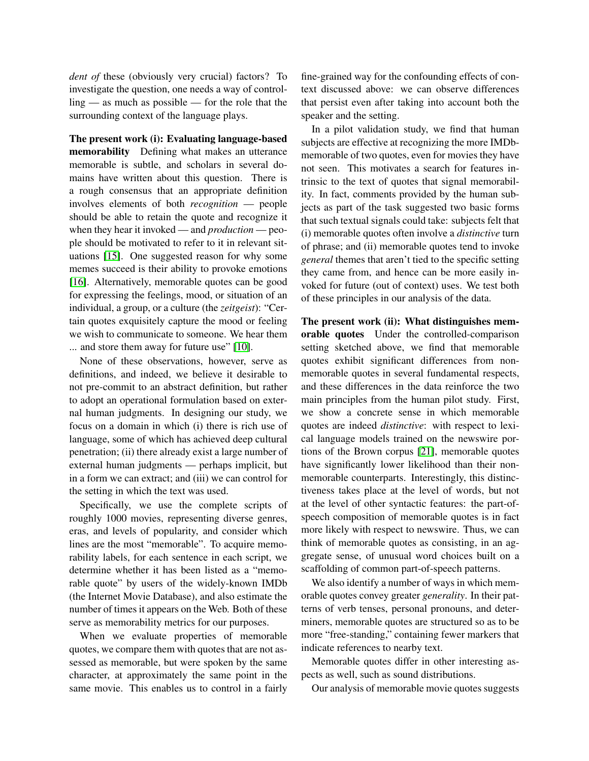*dent of* these (obviously very crucial) factors? To investigate the question, one needs a way of controlling — as much as possible — for the role that the surrounding context of the language plays.

The present work (i): Evaluating language-based memorability Defining what makes an utterance memorable is subtle, and scholars in several domains have written about this question. There is a rough consensus that an appropriate definition involves elements of both *recognition* — people should be able to retain the quote and recognize it when they hear it invoked — and *production* — people should be motivated to refer to it in relevant situations [\[15\]](#page-8-3). One suggested reason for why some memes succeed is their ability to provoke emotions [\[16\]](#page-8-4). Alternatively, memorable quotes can be good for expressing the feelings, mood, or situation of an individual, a group, or a culture (the *zeitgeist*): "Certain quotes exquisitely capture the mood or feeling we wish to communicate to someone. We hear them ... and store them away for future use" [\[10\]](#page-8-5).

None of these observations, however, serve as definitions, and indeed, we believe it desirable to not pre-commit to an abstract definition, but rather to adopt an operational formulation based on external human judgments. In designing our study, we focus on a domain in which (i) there is rich use of language, some of which has achieved deep cultural penetration; (ii) there already exist a large number of external human judgments — perhaps implicit, but in a form we can extract; and (iii) we can control for the setting in which the text was used.

Specifically, we use the complete scripts of roughly 1000 movies, representing diverse genres, eras, and levels of popularity, and consider which lines are the most "memorable". To acquire memorability labels, for each sentence in each script, we determine whether it has been listed as a "memorable quote" by users of the widely-known IMDb (the Internet Movie Database), and also estimate the number of times it appears on the Web. Both of these serve as memorability metrics for our purposes.

When we evaluate properties of memorable quotes, we compare them with quotes that are not assessed as memorable, but were spoken by the same character, at approximately the same point in the same movie. This enables us to control in a fairly fine-grained way for the confounding effects of context discussed above: we can observe differences that persist even after taking into account both the speaker and the setting.

In a pilot validation study, we find that human subjects are effective at recognizing the more IMDbmemorable of two quotes, even for movies they have not seen. This motivates a search for features intrinsic to the text of quotes that signal memorability. In fact, comments provided by the human subjects as part of the task suggested two basic forms that such textual signals could take: subjects felt that (i) memorable quotes often involve a *distinctive* turn of phrase; and (ii) memorable quotes tend to invoke *general* themes that aren't tied to the specific setting they came from, and hence can be more easily invoked for future (out of context) uses. We test both of these principles in our analysis of the data.

The present work (ii): What distinguishes memorable quotes Under the controlled-comparison setting sketched above, we find that memorable quotes exhibit significant differences from nonmemorable quotes in several fundamental respects, and these differences in the data reinforce the two main principles from the human pilot study. First, we show a concrete sense in which memorable quotes are indeed *distinctive*: with respect to lexical language models trained on the newswire portions of the Brown corpus [\[21\]](#page-8-6), memorable quotes have significantly lower likelihood than their nonmemorable counterparts. Interestingly, this distinctiveness takes place at the level of words, but not at the level of other syntactic features: the part-ofspeech composition of memorable quotes is in fact more likely with respect to newswire. Thus, we can think of memorable quotes as consisting, in an aggregate sense, of unusual word choices built on a scaffolding of common part-of-speech patterns.

We also identify a number of ways in which memorable quotes convey greater *generality*. In their patterns of verb tenses, personal pronouns, and determiners, memorable quotes are structured so as to be more "free-standing," containing fewer markers that indicate references to nearby text.

Memorable quotes differ in other interesting aspects as well, such as sound distributions.

Our analysis of memorable movie quotes suggests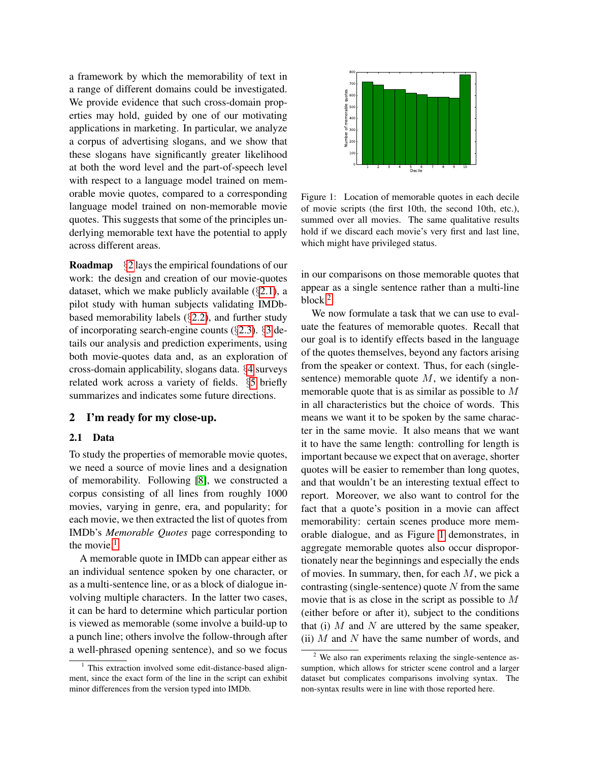a framework by which the memorability of text in a range of different domains could be investigated. We provide evidence that such cross-domain properties may hold, guided by one of our motivating applications in marketing. In particular, we analyze a corpus of advertising slogans, and we show that these slogans have significantly greater likelihood at both the word level and the part-of-speech level with respect to a language model trained on memorable movie quotes, compared to a corresponding language model trained on non-memorable movie quotes. This suggests that some of the principles underlying memorable text have the potential to apply across different areas.

Roadmap §[2](#page-2-0) lays the empirical foundations of our work: the design and creation of our movie-quotes dataset, which we make publicly available  $(\S 2.1)$  $(\S 2.1)$ , a pilot study with human subjects validating IMDbbased memorability labels (§[2.2\)](#page-3-0), and further study of incorporating search-engine counts (§[2.3\)](#page-4-0). §[3](#page-4-1) details our analysis and prediction experiments, using both movie-quotes data and, as an exploration of cross-domain applicability, slogans data. §[4](#page-7-0) surveys related work across a variety of fields. §[5](#page-7-1) briefly summarizes and indicates some future directions.

### <span id="page-2-0"></span>2 I'm ready for my close-up.

#### <span id="page-2-1"></span>2.1 Data

To study the properties of memorable movie quotes, we need a source of movie lines and a designation of memorability. Following [\[8\]](#page-8-7), we constructed a corpus consisting of all lines from roughly 1000 movies, varying in genre, era, and popularity; for each movie, we then extracted the list of quotes from IMDb's *Memorable Quotes* page corresponding to the movie.<sup>[1](#page-2-2)</sup>

A memorable quote in IMDb can appear either as an individual sentence spoken by one character, or as a multi-sentence line, or as a block of dialogue involving multiple characters. In the latter two cases, it can be hard to determine which particular portion is viewed as memorable (some involve a build-up to a punch line; others involve the follow-through after a well-phrased opening sentence), and so we focus



<span id="page-2-4"></span>Figure 1: Location of memorable quotes in each decile of movie scripts (the first 10th, the second 10th, etc.), summed over all movies. The same qualitative results hold if we discard each movie's very first and last line, which might have privileged status.

in our comparisons on those memorable quotes that appear as a single sentence rather than a multi-line block.<sup>[2](#page-2-3)</sup>

We now formulate a task that we can use to evaluate the features of memorable quotes. Recall that our goal is to identify effects based in the language of the quotes themselves, beyond any factors arising from the speaker or context. Thus, for each (singlesentence) memorable quote  $M$ , we identify a nonmemorable quote that is as similar as possible to M in all characteristics but the choice of words. This means we want it to be spoken by the same character in the same movie. It also means that we want it to have the same length: controlling for length is important because we expect that on average, shorter quotes will be easier to remember than long quotes, and that wouldn't be an interesting textual effect to report. Moreover, we also want to control for the fact that a quote's position in a movie can affect memorability: certain scenes produce more memorable dialogue, and as Figure [1](#page-2-4) demonstrates, in aggregate memorable quotes also occur disproportionately near the beginnings and especially the ends of movies. In summary, then, for each  $M$ , we pick a contrasting (single-sentence) quote  $N$  from the same movie that is as close in the script as possible to M (either before or after it), subject to the conditions that (i)  $M$  and  $N$  are uttered by the same speaker, (ii)  $M$  and  $N$  have the same number of words, and

<span id="page-2-2"></span><sup>&</sup>lt;sup>1</sup> This extraction involved some edit-distance-based alignment, since the exact form of the line in the script can exhibit minor differences from the version typed into IMDb.

<span id="page-2-3"></span><sup>2</sup> We also ran experiments relaxing the single-sentence assumption, which allows for stricter scene control and a larger dataset but complicates comparisons involving syntax. The non-syntax results were in line with those reported here.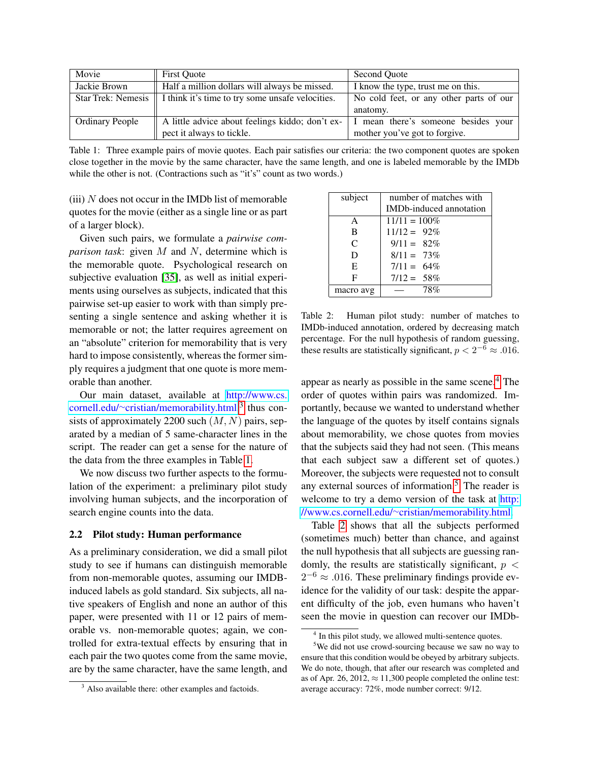| Movie                  | <b>First Quote</b>                                                     | Second Ouote                            |  |
|------------------------|------------------------------------------------------------------------|-----------------------------------------|--|
| Jackie Brown           | Half a million dollars will always be missed.                          | I know the type, trust me on this.      |  |
|                        | Star Trek: Nemesis    I think it's time to try some unsafe velocities. | No cold feet, or any other parts of our |  |
|                        |                                                                        | anatomy.                                |  |
| <b>Ordinary People</b> | A little advice about feelings kiddo; don't ex-                        | I mean there's someone besides your     |  |
|                        | pect it always to tickle.                                              | mother you've got to forgive.           |  |

<span id="page-3-2"></span>Table 1: Three example pairs of movie quotes. Each pair satisfies our criteria: the two component quotes are spoken close together in the movie by the same character, have the same length, and one is labeled memorable by the IMDb while the other is not. (Contractions such as "it's" count as two words.)

 $(iii)$  N does not occur in the IMDb list of memorable quotes for the movie (either as a single line or as part of a larger block).

Given such pairs, we formulate a *pairwise comparison task*: given M and N, determine which is the memorable quote. Psychological research on subjective evaluation [\[35\]](#page-9-11), as well as initial experiments using ourselves as subjects, indicated that this pairwise set-up easier to work with than simply presenting a single sentence and asking whether it is memorable or not; the latter requires agreement on an "absolute" criterion for memorability that is very hard to impose consistently, whereas the former simply requires a judgment that one quote is more memorable than another.

Our main dataset, available at [http://www.cs.](http://www.cs.cornell.edu/~cristian/memorability.html) cornell.edu/∼[cristian/memorability.html,](http://www.cs.cornell.edu/~cristian/memorability.html) [3](#page-3-1) thus consists of approximately 2200 such  $(M, N)$  pairs, separated by a median of 5 same-character lines in the script. The reader can get a sense for the nature of the data from the three examples in Table [1.](#page-3-2)

We now discuss two further aspects to the formulation of the experiment: a preliminary pilot study involving human subjects, and the incorporation of search engine counts into the data.

#### <span id="page-3-0"></span>2.2 Pilot study: Human performance

As a preliminary consideration, we did a small pilot study to see if humans can distinguish memorable from non-memorable quotes, assuming our IMDBinduced labels as gold standard. Six subjects, all native speakers of English and none an author of this paper, were presented with 11 or 12 pairs of memorable vs. non-memorable quotes; again, we controlled for extra-textual effects by ensuring that in each pair the two quotes come from the same movie, are by the same character, have the same length, and

| subject      | number of matches with          |  |
|--------------|---------------------------------|--|
|              | <b>IMD</b> b-induced annotation |  |
| A            | $11/11 = 100\%$                 |  |
| B            | $11/12 = 92\%$                  |  |
| $\mathsf{C}$ | $9/11 = 82\%$                   |  |
| D            | $8/11 = 73\%$                   |  |
| E            | $7/11 = 64\%$                   |  |
| F            | $7/12 = 58\%$                   |  |
| macro avg    | 78%                             |  |

<span id="page-3-5"></span>Table 2: Human pilot study: number of matches to IMDb-induced annotation, ordered by decreasing match percentage. For the null hypothesis of random guessing, these results are statistically significant,  $p < 2^{-6} \approx .016$ .

appear as nearly as possible in the same scene.<sup>[4](#page-3-3)</sup> The order of quotes within pairs was randomized. Importantly, because we wanted to understand whether the language of the quotes by itself contains signals about memorability, we chose quotes from movies that the subjects said they had not seen. (This means that each subject saw a different set of quotes.) Moreover, the subjects were requested not to consult any external sources of information.<sup>[5](#page-3-4)</sup> The reader is welcome to try a demo version of the task at [http:](http://www.cs.cornell.edu/~cristian/memorability.html) //www.cs.cornell.edu/∼[cristian/memorability.html.](http://www.cs.cornell.edu/~cristian/memorability.html)

Table [2](#page-3-5) shows that all the subjects performed (sometimes much) better than chance, and against the null hypothesis that all subjects are guessing randomly, the results are statistically significant,  $p <$  $2^{-6} \approx .016$ . These preliminary findings provide evidence for the validity of our task: despite the apparent difficulty of the job, even humans who haven't seen the movie in question can recover our IMDb-

<span id="page-3-1"></span><sup>&</sup>lt;sup>3</sup> Also available there: other examples and factoids.

<span id="page-3-4"></span><span id="page-3-3"></span><sup>&</sup>lt;sup>4</sup> In this pilot study, we allowed multi-sentence quotes.

<sup>5</sup>We did not use crowd-sourcing because we saw no way to ensure that this condition would be obeyed by arbitrary subjects. We do note, though, that after our research was completed and as of Apr. 26, 2012,  $\approx$  11,300 people completed the online test: average accuracy: 72%, mode number correct: 9/12.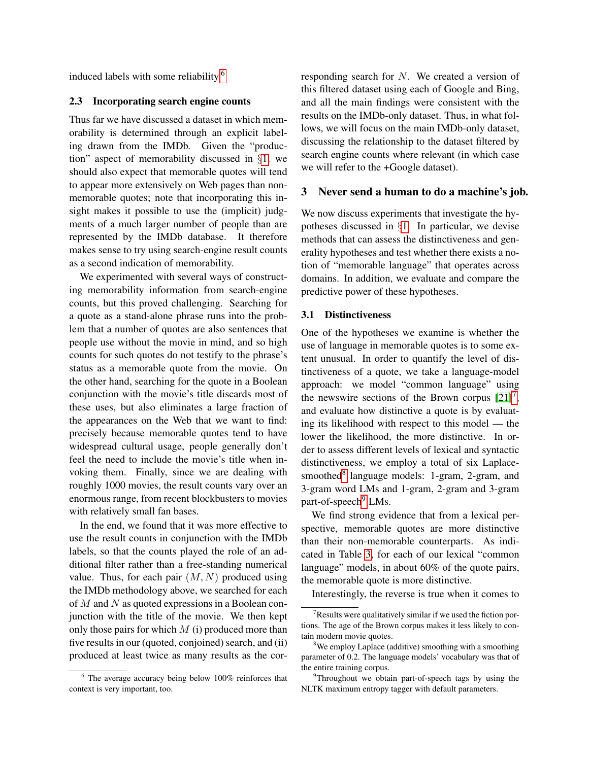induced labels with some reliability.[6](#page-4-2)

### <span id="page-4-0"></span>2.3 Incorporating search engine counts

Thus far we have discussed a dataset in which memorability is determined through an explicit labeling drawn from the IMDb. Given the "production" aspect of memorability discussed in §[1,](#page-0-0) we should also expect that memorable quotes will tend to appear more extensively on Web pages than nonmemorable quotes; note that incorporating this insight makes it possible to use the (implicit) judgments of a much larger number of people than are represented by the IMDb database. It therefore makes sense to try using search-engine result counts as a second indication of memorability.

We experimented with several ways of constructing memorability information from search-engine counts, but this proved challenging. Searching for a quote as a stand-alone phrase runs into the problem that a number of quotes are also sentences that people use without the movie in mind, and so high counts for such quotes do not testify to the phrase's status as a memorable quote from the movie. On the other hand, searching for the quote in a Boolean conjunction with the movie's title discards most of these uses, but also eliminates a large fraction of the appearances on the Web that we want to find: precisely because memorable quotes tend to have widespread cultural usage, people generally don't feel the need to include the movie's title when invoking them. Finally, since we are dealing with roughly 1000 movies, the result counts vary over an enormous range, from recent blockbusters to movies with relatively small fan bases.

In the end, we found that it was more effective to use the result counts in conjunction with the IMDb labels, so that the counts played the role of an additional filter rather than a free-standing numerical value. Thus, for each pair  $(M, N)$  produced using the IMDb methodology above, we searched for each of M and N as quoted expressions in a Boolean conjunction with the title of the movie. We then kept only those pairs for which  $M$  (i) produced more than five results in our (quoted, conjoined) search, and (ii) produced at least twice as many results as the cor-

<span id="page-4-2"></span> $6$  The average accuracy being below  $100\%$  reinforces that context is very important, too.

responding search for N. We created a version of this filtered dataset using each of Google and Bing, and all the main findings were consistent with the results on the IMDb-only dataset. Thus, in what follows, we will focus on the main IMDb-only dataset, discussing the relationship to the dataset filtered by search engine counts where relevant (in which case we will refer to the +Google dataset).

#### <span id="page-4-1"></span>3 Never send a human to do a machine's job.

We now discuss experiments that investigate the hypotheses discussed in §[1.](#page-0-0) In particular, we devise methods that can assess the distinctiveness and generality hypotheses and test whether there exists a notion of "memorable language" that operates across domains. In addition, we evaluate and compare the predictive power of these hypotheses.

## 3.1 Distinctiveness

One of the hypotheses we examine is whether the use of language in memorable quotes is to some extent unusual. In order to quantify the level of distinctiveness of a quote, we take a language-model approach: we model "common language" using the newswire sections of the Brown corpus  $[21]^{7}$  $[21]^{7}$  $[21]^{7}$  $[21]^{7}$ , and evaluate how distinctive a quote is by evaluating its likelihood with respect to this model — the lower the likelihood, the more distinctive. In order to assess different levels of lexical and syntactic distinctiveness, we employ a total of six Laplace-smoothed<sup>[8](#page-4-4)</sup> language models: 1-gram, 2-gram, and 3-gram word LMs and 1-gram, 2-gram and 3-gram part-of-speech<sup>[9](#page-4-5)</sup> LMs.

We find strong evidence that from a lexical perspective, memorable quotes are more distinctive than their non-memorable counterparts. As indicated in Table [3,](#page-5-0) for each of our lexical "common language" models, in about 60% of the quote pairs, the memorable quote is more distinctive.

Interestingly, the reverse is true when it comes to

<span id="page-4-3"></span> $7$ Results were qualitatively similar if we used the fiction portions. The age of the Brown corpus makes it less likely to contain modern movie quotes.

<span id="page-4-4"></span><sup>&</sup>lt;sup>8</sup>We employ Laplace (additive) smoothing with a smoothing parameter of 0.2. The language models' vocabulary was that of the entire training corpus.

<span id="page-4-5"></span><sup>&</sup>lt;sup>9</sup>Throughout we obtain part-of-speech tags by using the NLTK maximum entropy tagger with default parameters.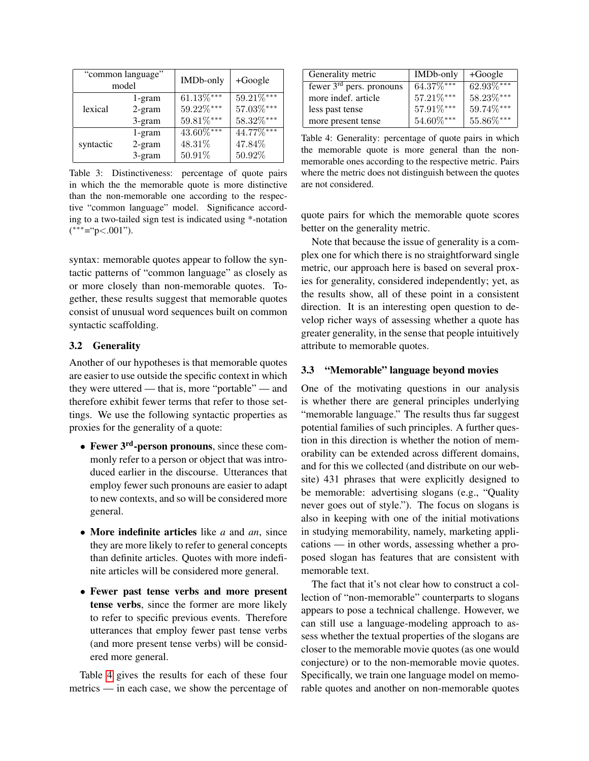|           | "common language"<br>model | IMDb-only       | $+Google$       |
|-----------|----------------------------|-----------------|-----------------|
|           | 1-gram                     | $61.13\%***$    | $59.21\%***$    |
| lexical   | $2$ -gram                  | 59.22%***       | $57.03\%***$    |
|           | 3-gram                     | $59.81\%^{***}$ | $58.32\%^{***}$ |
|           | 1-gram                     | $43.60\%***$    | $44.77\%***$    |
| syntactic | $2$ -gram                  | 48.31%          | 47.84%          |
|           | 3-gram                     | 50.91%          | 50.92%          |

<span id="page-5-0"></span>Table 3: Distinctiveness: percentage of quote pairs in which the the memorable quote is more distinctive than the non-memorable one according to the respective "common language" model. Significance according to a two-tailed sign test is indicated using \*-notation ( ∗∗∗="p<.001").

syntax: memorable quotes appear to follow the syntactic patterns of "common language" as closely as or more closely than non-memorable quotes. Together, these results suggest that memorable quotes consist of unusual word sequences built on common syntactic scaffolding.

# 3.2 Generality

Another of our hypotheses is that memorable quotes are easier to use outside the specific context in which they were uttered — that is, more "portable" — and therefore exhibit fewer terms that refer to those settings. We use the following syntactic properties as proxies for the generality of a quote:

- Fewer 3<sup>rd</sup>-person pronouns, since these commonly refer to a person or object that was introduced earlier in the discourse. Utterances that employ fewer such pronouns are easier to adapt to new contexts, and so will be considered more general.
- More indefinite articles like *a* and *an*, since they are more likely to refer to general concepts than definite articles. Quotes with more indefinite articles will be considered more general.
- Fewer past tense verbs and more present tense verbs, since the former are more likely to refer to specific previous events. Therefore utterances that employ fewer past tense verbs (and more present tense verbs) will be considered more general.

Table [4](#page-5-1) gives the results for each of these four metrics — in each case, we show the percentage of

| Generality metric          | IMDb-only       | $+Google$    |
|----------------------------|-----------------|--------------|
| fewer $3rd$ pers. pronouns | 64.37%***       | $62.93\%***$ |
| more indef. article        | 57.21%***       | 58.23%***    |
| less past tense            | 57.91%***       | 59.74%***    |
| more present tense         | $54.60\%^{***}$ | 55.86%***    |

<span id="page-5-1"></span>Table 4: Generality: percentage of quote pairs in which the memorable quote is more general than the nonmemorable ones according to the respective metric. Pairs where the metric does not distinguish between the quotes are not considered.

quote pairs for which the memorable quote scores better on the generality metric.

Note that because the issue of generality is a complex one for which there is no straightforward single metric, our approach here is based on several proxies for generality, considered independently; yet, as the results show, all of these point in a consistent direction. It is an interesting open question to develop richer ways of assessing whether a quote has greater generality, in the sense that people intuitively attribute to memorable quotes.

## 3.3 "Memorable" language beyond movies

One of the motivating questions in our analysis is whether there are general principles underlying "memorable language." The results thus far suggest potential families of such principles. A further question in this direction is whether the notion of memorability can be extended across different domains, and for this we collected (and distribute on our website) 431 phrases that were explicitly designed to be memorable: advertising slogans (e.g., "Quality never goes out of style."). The focus on slogans is also in keeping with one of the initial motivations in studying memorability, namely, marketing applications — in other words, assessing whether a proposed slogan has features that are consistent with memorable text.

The fact that it's not clear how to construct a collection of "non-memorable" counterparts to slogans appears to pose a technical challenge. However, we can still use a language-modeling approach to assess whether the textual properties of the slogans are closer to the memorable movie quotes (as one would conjecture) or to the non-memorable movie quotes. Specifically, we train one language model on memorable quotes and another on non-memorable quotes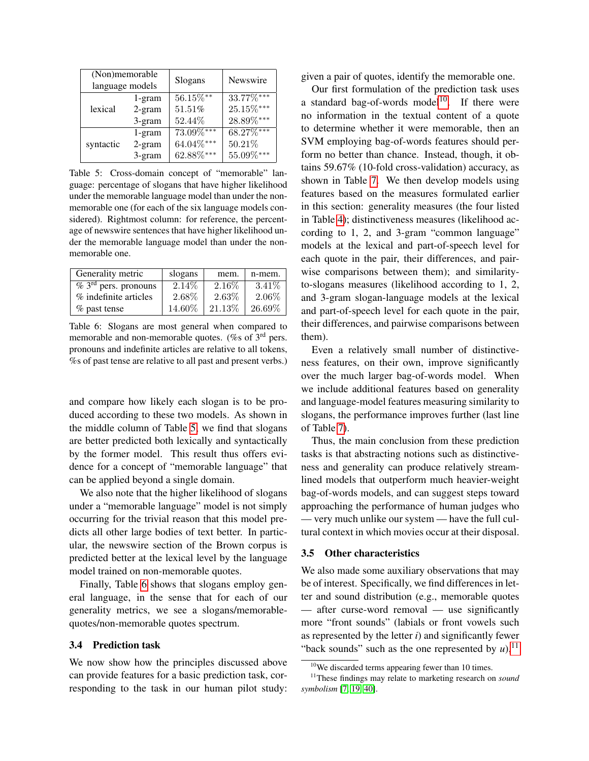| (Non)memorable<br>language models |           | Slogans         | Newswire        |
|-----------------------------------|-----------|-----------------|-----------------|
|                                   | 1-gram    | $56.15\%$ **    | 33.77%***       |
| lexical                           | $2$ -gram | 51.51%          | $25.15\%***$    |
|                                   | 3-gram    | 52.44%          | $28.89\%^{***}$ |
|                                   | $1$ -gram | 73.09%***       | $68.27\%***$    |
| syntactic                         | $2$ -gram | 64.04%***       | 50.21%          |
|                                   | 3-gram    | $62.88\%^{***}$ | $55.09\%^{***}$ |

<span id="page-6-0"></span>Table 5: Cross-domain concept of "memorable" language: percentage of slogans that have higher likelihood under the memorable language model than under the nonmemorable one (for each of the six language models considered). Rightmost column: for reference, the percentage of newswire sentences that have higher likelihood under the memorable language model than under the nonmemorable one.

| Generality metric                            | slogans | mem.   | n-mem.   |
|----------------------------------------------|---------|--------|----------|
| $\sqrt[3]{6}$ 3 <sup>rd</sup> pers. pronouns | 2.14\%  | 2.16\% | $3.41\%$ |
| % indefinite articles                        | 2.68%   | 2.63%  | 2.06%    |
| % past tense                                 | 14.60%  | 21.13% | 26.69%   |

<span id="page-6-1"></span>Table 6: Slogans are most general when compared to memorable and non-memorable quotes. (% of 3<sup>rd</sup> pers. pronouns and indefinite articles are relative to all tokens, %s of past tense are relative to all past and present verbs.)

and compare how likely each slogan is to be produced according to these two models. As shown in the middle column of Table [5,](#page-6-0) we find that slogans are better predicted both lexically and syntactically by the former model. This result thus offers evidence for a concept of "memorable language" that can be applied beyond a single domain.

We also note that the higher likelihood of slogans under a "memorable language" model is not simply occurring for the trivial reason that this model predicts all other large bodies of text better. In particular, the newswire section of the Brown corpus is predicted better at the lexical level by the language model trained on non-memorable quotes.

Finally, Table [6](#page-6-1) shows that slogans employ general language, in the sense that for each of our generality metrics, we see a slogans/memorablequotes/non-memorable quotes spectrum.

#### 3.4 Prediction task

We now show how the principles discussed above can provide features for a basic prediction task, corresponding to the task in our human pilot study: given a pair of quotes, identify the memorable one.

Our first formulation of the prediction task uses a standard bag-of-words model<sup>[10](#page-6-2)</sup>. If there were no information in the textual content of a quote to determine whether it were memorable, then an SVM employing bag-of-words features should perform no better than chance. Instead, though, it obtains 59.67% (10-fold cross-validation) accuracy, as shown in Table [7.](#page-7-2) We then develop models using features based on the measures formulated earlier in this section: generality measures (the four listed in Table [4\)](#page-5-1); distinctiveness measures (likelihood according to 1, 2, and 3-gram "common language" models at the lexical and part-of-speech level for each quote in the pair, their differences, and pairwise comparisons between them); and similarityto-slogans measures (likelihood according to 1, 2, and 3-gram slogan-language models at the lexical and part-of-speech level for each quote in the pair, their differences, and pairwise comparisons between them).

Even a relatively small number of distinctiveness features, on their own, improve significantly over the much larger bag-of-words model. When we include additional features based on generality and language-model features measuring similarity to slogans, the performance improves further (last line of Table [7\)](#page-7-2).

Thus, the main conclusion from these prediction tasks is that abstracting notions such as distinctiveness and generality can produce relatively streamlined models that outperform much heavier-weight bag-of-words models, and can suggest steps toward approaching the performance of human judges who — very much unlike our system — have the full cultural context in which movies occur at their disposal.

#### 3.5 Other characteristics

We also made some auxiliary observations that may be of interest. Specifically, we find differences in letter and sound distribution (e.g., memorable quotes — after curse-word removal — use significantly more "front sounds" (labials or front vowels such as represented by the letter *i*) and significantly fewer "back sounds" such as the one represented by  $u$ ),<sup>[11](#page-6-3)</sup>

<span id="page-6-3"></span><span id="page-6-2"></span><sup>&</sup>lt;sup>10</sup>We discarded terms appearing fewer than 10 times.

<sup>11</sup>These findings may relate to marketing research on *sound symbolism* [\[7,](#page-8-8) [19,](#page-8-9) [40\]](#page-9-12).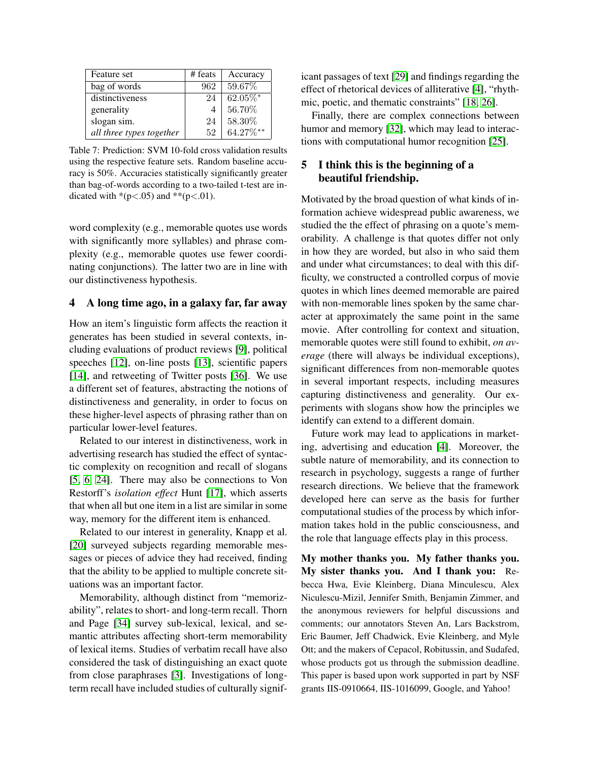| Feature set              | # feats | Accuracy               |
|--------------------------|---------|------------------------|
| bag of words             | 962     | 59.67%                 |
| distinctiveness          | 24      | $\overline{62.0}5\%$ * |
| generality               |         | 56.70%                 |
| slogan sim.              | 24      | 58.30%                 |
| all three types together | 52      | $64.27\%***$           |

<span id="page-7-2"></span>Table 7: Prediction: SVM 10-fold cross validation results using the respective feature sets. Random baseline accuracy is 50%. Accuracies statistically significantly greater than bag-of-words according to a two-tailed t-test are indicated with \*(p<.05) and \*\*(p<.01).

word complexity (e.g., memorable quotes use words with significantly more syllables) and phrase complexity (e.g., memorable quotes use fewer coordinating conjunctions). The latter two are in line with our distinctiveness hypothesis.

## <span id="page-7-0"></span>4 A long time ago, in a galaxy far, far away

How an item's linguistic form affects the reaction it generates has been studied in several contexts, including evaluations of product reviews [\[9\]](#page-8-10), political speeches [\[12\]](#page-8-11), on-line posts [\[13\]](#page-8-12), scientific papers [\[14\]](#page-8-13), and retweeting of Twitter posts [\[36\]](#page-9-10). We use a different set of features, abstracting the notions of distinctiveness and generality, in order to focus on these higher-level aspects of phrasing rather than on particular lower-level features.

Related to our interest in distinctiveness, work in advertising research has studied the effect of syntactic complexity on recognition and recall of slogans [\[5,](#page-8-14) [6,](#page-8-15) [24\]](#page-9-13). There may also be connections to Von Restorff's *isolation effect* Hunt [\[17\]](#page-8-16), which asserts that when all but one item in a list are similar in some way, memory for the different item is enhanced.

Related to our interest in generality, Knapp et al. [\[20\]](#page-8-17) surveyed subjects regarding memorable messages or pieces of advice they had received, finding that the ability to be applied to multiple concrete situations was an important factor.

Memorability, although distinct from "memorizability", relates to short- and long-term recall. Thorn and Page [\[34\]](#page-9-14) survey sub-lexical, lexical, and semantic attributes affecting short-term memorability of lexical items. Studies of verbatim recall have also considered the task of distinguishing an exact quote from close paraphrases [\[3\]](#page-8-18). Investigations of longterm recall have included studies of culturally significant passages of text [\[29\]](#page-9-15) and findings regarding the effect of rhetorical devices of alliterative [\[4\]](#page-8-19), "rhythmic, poetic, and thematic constraints" [\[18,](#page-8-20) [26\]](#page-9-16).

Finally, there are complex connections between humor and memory [\[32\]](#page-9-17), which may lead to interactions with computational humor recognition [\[25\]](#page-9-18).

# <span id="page-7-1"></span>5 I think this is the beginning of a beautiful friendship.

Motivated by the broad question of what kinds of information achieve widespread public awareness, we studied the the effect of phrasing on a quote's memorability. A challenge is that quotes differ not only in how they are worded, but also in who said them and under what circumstances; to deal with this difficulty, we constructed a controlled corpus of movie quotes in which lines deemed memorable are paired with non-memorable lines spoken by the same character at approximately the same point in the same movie. After controlling for context and situation, memorable quotes were still found to exhibit, *on average* (there will always be individual exceptions), significant differences from non-memorable quotes in several important respects, including measures capturing distinctiveness and generality. Our experiments with slogans show how the principles we identify can extend to a different domain.

Future work may lead to applications in marketing, advertising and education [\[4\]](#page-8-19). Moreover, the subtle nature of memorability, and its connection to research in psychology, suggests a range of further research directions. We believe that the framework developed here can serve as the basis for further computational studies of the process by which information takes hold in the public consciousness, and the role that language effects play in this process.

My mother thanks you. My father thanks you. My sister thanks you. And I thank you: Rebecca Hwa, Evie Kleinberg, Diana Minculescu, Alex Niculescu-Mizil, Jennifer Smith, Benjamin Zimmer, and the anonymous reviewers for helpful discussions and comments; our annotators Steven An, Lars Backstrom, Eric Baumer, Jeff Chadwick, Evie Kleinberg, and Myle Ott; and the makers of Cepacol, Robitussin, and Sudafed, whose products got us through the submission deadline. This paper is based upon work supported in part by NSF grants IIS-0910664, IIS-1016099, Google, and Yahoo!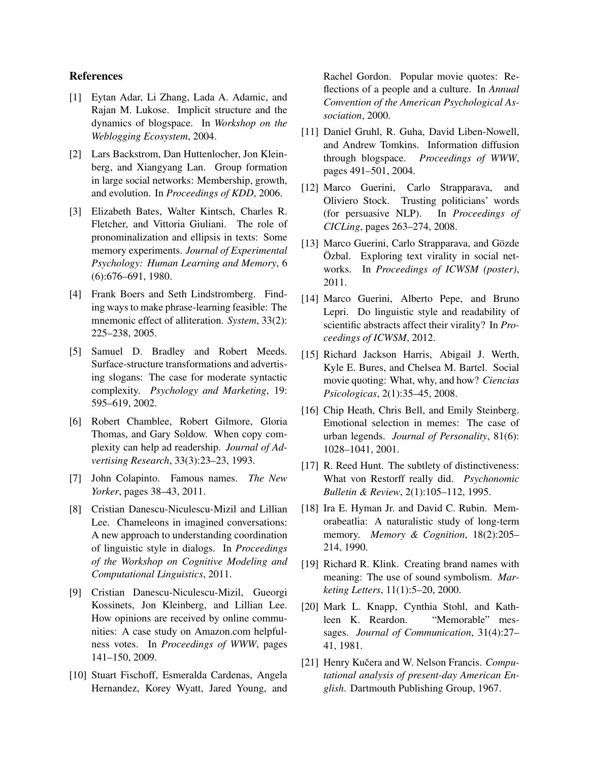## References

- <span id="page-8-0"></span>[1] Eytan Adar, Li Zhang, Lada A. Adamic, and Rajan M. Lukose. Implicit structure and the dynamics of blogspace. In *Workshop on the Weblogging Ecosystem*, 2004.
- <span id="page-8-2"></span>[2] Lars Backstrom, Dan Huttenlocher, Jon Kleinberg, and Xiangyang Lan. Group formation in large social networks: Membership, growth, and evolution. In *Proceedings of KDD*, 2006.
- <span id="page-8-18"></span>[3] Elizabeth Bates, Walter Kintsch, Charles R. Fletcher, and Vittoria Giuliani. The role of pronominalization and ellipsis in texts: Some memory experiments. *Journal of Experimental Psychology: Human Learning and Memory*, 6 (6):676–691, 1980.
- <span id="page-8-19"></span>[4] Frank Boers and Seth Lindstromberg. Finding ways to make phrase-learning feasible: The mnemonic effect of alliteration. *System*, 33(2): 225–238, 2005.
- <span id="page-8-14"></span>[5] Samuel D. Bradley and Robert Meeds. Surface-structure transformations and advertising slogans: The case for moderate syntactic complexity. *Psychology and Marketing*, 19: 595–619, 2002.
- <span id="page-8-15"></span>[6] Robert Chamblee, Robert Gilmore, Gloria Thomas, and Gary Soldow. When copy complexity can help ad readership. *Journal of Advertising Research*, 33(3):23–23, 1993.
- <span id="page-8-8"></span>[7] John Colapinto. Famous names. *The New Yorker*, pages 38–43, 2011.
- <span id="page-8-7"></span>[8] Cristian Danescu-Niculescu-Mizil and Lillian Lee. Chameleons in imagined conversations: A new approach to understanding coordination of linguistic style in dialogs. In *Proceedings of the Workshop on Cognitive Modeling and Computational Linguistics*, 2011.
- <span id="page-8-10"></span>[9] Cristian Danescu-Niculescu-Mizil, Gueorgi Kossinets, Jon Kleinberg, and Lillian Lee. How opinions are received by online communities: A case study on Amazon.com helpfulness votes. In *Proceedings of WWW*, pages 141–150, 2009.
- <span id="page-8-5"></span>[10] Stuart Fischoff, Esmeralda Cardenas, Angela Hernandez, Korey Wyatt, Jared Young, and

Rachel Gordon. Popular movie quotes: Reflections of a people and a culture. In *Annual Convention of the American Psychological Association*, 2000.

- <span id="page-8-1"></span>[11] Daniel Gruhl, R. Guha, David Liben-Nowell, and Andrew Tomkins. Information diffusion through blogspace. *Proceedings of WWW*, pages 491–501, 2004.
- <span id="page-8-11"></span>[12] Marco Guerini, Carlo Strapparava, and Oliviero Stock. Trusting politicians' words (for persuasive NLP). In *Proceedings of CICLing*, pages 263–274, 2008.
- <span id="page-8-12"></span>[13] Marco Guerini, Carlo Strapparava, and Gözde  $\ddot{O}$ zbal. Exploring text virality in social networks. In *Proceedings of ICWSM (poster)*, 2011.
- <span id="page-8-13"></span>[14] Marco Guerini, Alberto Pepe, and Bruno Lepri. Do linguistic style and readability of scientific abstracts affect their virality? In *Proceedings of ICWSM*, 2012.
- <span id="page-8-3"></span>[15] Richard Jackson Harris, Abigail J. Werth, Kyle E. Bures, and Chelsea M. Bartel. Social movie quoting: What, why, and how? *Ciencias Psicologicas*, 2(1):35–45, 2008.
- <span id="page-8-4"></span>[16] Chip Heath, Chris Bell, and Emily Steinberg. Emotional selection in memes: The case of urban legends. *Journal of Personality*, 81(6): 1028–1041, 2001.
- <span id="page-8-16"></span>[17] R. Reed Hunt. The subtlety of distinctiveness: What von Restorff really did. *Psychonomic Bulletin & Review*, 2(1):105–112, 1995.
- <span id="page-8-20"></span>[18] Ira E. Hyman Jr. and David C. Rubin. Memorabeatlia: A naturalistic study of long-term memory. *Memory & Cognition*, 18(2):205– 214, 1990.
- <span id="page-8-9"></span>[19] Richard R. Klink. Creating brand names with meaning: The use of sound symbolism. *Marketing Letters*, 11(1):5–20, 2000.
- <span id="page-8-17"></span>[20] Mark L. Knapp, Cynthia Stohl, and Kathleen K. Reardon. "Memorable" messages. *Journal of Communication*, 31(4):27– 41, 1981.
- <span id="page-8-6"></span>[21] Henry Kučera and W. Nelson Francis. *Computational analysis of present-day American English*. Dartmouth Publishing Group, 1967.